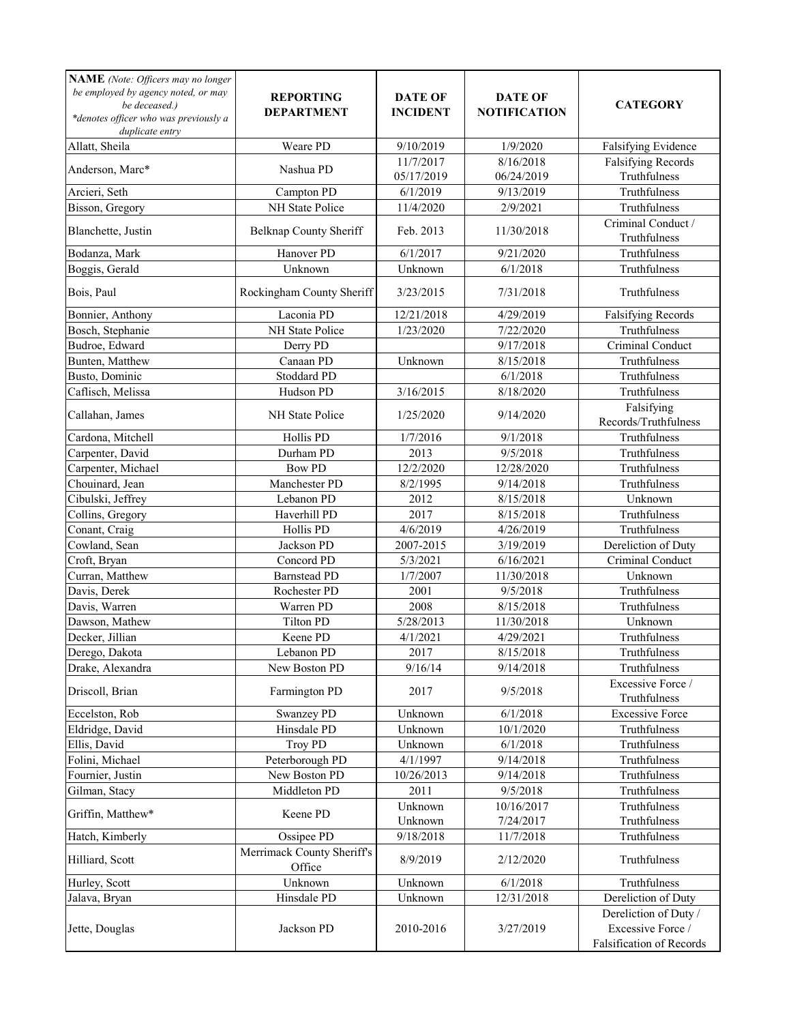| NAME (Note: Officers may no longer<br>be employed by agency noted, or may<br>be deceased.)<br>*denotes officer who was previously a<br>duplicate entry | <b>REPORTING</b><br><b>DEPARTMENT</b> | <b>DATE OF</b><br><b>INCIDENT</b> | <b>DATE OF</b><br><b>NOTIFICATION</b> | <b>CATEGORY</b>                                                        |
|--------------------------------------------------------------------------------------------------------------------------------------------------------|---------------------------------------|-----------------------------------|---------------------------------------|------------------------------------------------------------------------|
| Allatt, Sheila                                                                                                                                         | Weare PD                              | 9/10/2019                         | 1/9/2020                              | Falsifying Evidence                                                    |
| Anderson, Marc*                                                                                                                                        | Nashua PD                             | 11/7/2017<br>05/17/2019           | 8/16/2018<br>06/24/2019               | <b>Falsifying Records</b><br>Truthfulness                              |
| Arcieri, Seth                                                                                                                                          | Campton PD                            | 6/1/2019                          | 9/13/2019                             | Truthfulness                                                           |
| Bisson, Gregory                                                                                                                                        | NH State Police                       | 11/4/2020                         | 2/9/2021                              | Truthfulness                                                           |
| Blanchette, Justin                                                                                                                                     | <b>Belknap County Sheriff</b>         | Feb. 2013                         | 11/30/2018                            | Criminal Conduct /<br>Truthfulness                                     |
| Bodanza, Mark                                                                                                                                          | Hanover PD                            | 6/1/2017                          | 9/21/2020                             | Truthfulness                                                           |
| Boggis, Gerald                                                                                                                                         | Unknown                               | Unknown                           | 6/1/2018                              | Truthfulness                                                           |
| Bois, Paul                                                                                                                                             | Rockingham County Sheriff             | 3/23/2015                         | 7/31/2018                             | Truthfulness                                                           |
| Bonnier, Anthony                                                                                                                                       | Laconia PD                            | 12/21/2018                        | 4/29/2019                             | <b>Falsifying Records</b>                                              |
| Bosch, Stephanie                                                                                                                                       | NH State Police                       | 1/23/2020                         | 7/22/2020                             | Truthfulness                                                           |
| Budroe, Edward                                                                                                                                         | Derry PD                              |                                   | 9/17/2018                             | Criminal Conduct                                                       |
| Bunten, Matthew                                                                                                                                        | Canaan PD                             | Unknown                           | 8/15/2018                             | Truthfulness                                                           |
| Busto, Dominic                                                                                                                                         | Stoddard PD                           |                                   | 6/1/2018                              | Truthfulness                                                           |
| Caflisch, Melissa                                                                                                                                      | Hudson PD                             | 3/16/2015                         | 8/18/2020                             | Truthfulness                                                           |
| Callahan, James                                                                                                                                        | NH State Police                       | 1/25/2020                         | 9/14/2020                             | Falsifying<br>Records/Truthfulness                                     |
| Cardona, Mitchell                                                                                                                                      | Hollis PD                             | 1/7/2016                          | 9/1/2018                              | Truthfulness                                                           |
| Carpenter, David                                                                                                                                       | Durham PD                             | 2013                              | 9/5/2018                              | Truthfulness                                                           |
| Carpenter, Michael                                                                                                                                     | <b>Bow PD</b>                         | 12/2/2020                         | 12/28/2020                            | Truthfulness                                                           |
| Chouinard, Jean                                                                                                                                        | Manchester PD                         | 8/2/1995                          | 9/14/2018                             | Truthfulness                                                           |
| Cibulski, Jeffrey                                                                                                                                      | Lebanon PD                            | 2012                              | 8/15/2018                             | Unknown                                                                |
| Collins, Gregory                                                                                                                                       | Haverhill PD                          | 2017                              | 8/15/2018                             | Truthfulness                                                           |
| Conant, Craig                                                                                                                                          | Hollis PD                             | 4/6/2019                          | 4/26/2019                             | Truthfulness                                                           |
| Cowland, Sean                                                                                                                                          | Jackson PD                            | 2007-2015                         | 3/19/2019                             | Dereliction of Duty                                                    |
| Croft, Bryan                                                                                                                                           | Concord PD                            | 5/3/2021                          | 6/16/2021                             | Criminal Conduct                                                       |
| Curran, Matthew                                                                                                                                        | <b>Barnstead PD</b>                   | 1/7/2007                          | 11/30/2018                            | Unknown                                                                |
| Davis, Derek                                                                                                                                           | Rochester PD                          | 2001                              | 9/5/2018                              | Truthfulness                                                           |
| Davis, Warren                                                                                                                                          | Warren PD                             | 2008                              | 8/15/2018                             | Truthfulness                                                           |
| Dawson, Mathew                                                                                                                                         | <b>Tilton PD</b>                      | 5/28/2013                         | 11/30/2018                            | Unknown                                                                |
| Decker, Jillian                                                                                                                                        | Keene PD                              | 4/1/2021                          | 4/29/2021                             | Truthfulness                                                           |
| Derego, Dakota                                                                                                                                         | Lebanon PD                            | 2017                              | 8/15/2018                             | Truthfulness                                                           |
| Drake, Alexandra                                                                                                                                       | New Boston PD                         | 9/16/14                           | 9/14/2018                             | Truthfulness                                                           |
| Driscoll, Brian                                                                                                                                        | Farmington PD                         | 2017                              | 9/5/2018                              | Excessive Force /<br>Truthfulness                                      |
| Eccelston, Rob                                                                                                                                         | Swanzey PD                            | Unknown                           | 6/1/2018                              | <b>Excessive Force</b>                                                 |
| Eldridge, David                                                                                                                                        | Hinsdale PD                           | Unknown                           | 10/1/2020                             | Truthfulness                                                           |
| Ellis, David                                                                                                                                           | <b>Troy PD</b>                        | Unknown                           | 6/1/2018                              | Truthfulness                                                           |
| Folini, Michael                                                                                                                                        | Peterborough PD                       | 4/1/1997                          | 9/14/2018                             | Truthfulness                                                           |
| Fournier, Justin                                                                                                                                       | New Boston PD                         | 10/26/2013                        | 9/14/2018                             | Truthfulness                                                           |
| Gilman, Stacy                                                                                                                                          | Middleton PD                          | 2011                              | 9/5/2018                              | Truthfulness                                                           |
| Griffin, Matthew*                                                                                                                                      | Keene PD                              | Unknown<br>Unknown                | 10/16/2017<br>7/24/2017               | Truthfulness<br>Truthfulness                                           |
| Hatch, Kimberly                                                                                                                                        | Ossipee PD                            | 9/18/2018                         | 11/7/2018                             | Truthfulness                                                           |
| Hilliard, Scott                                                                                                                                        | Merrimack County Sheriff's<br>Office  | 8/9/2019                          | 2/12/2020                             | Truthfulness                                                           |
| Hurley, Scott                                                                                                                                          | Unknown                               | Unknown                           | 6/1/2018                              | Truthfulness                                                           |
| Jalava, Bryan                                                                                                                                          | Hinsdale PD                           | Unknown                           | 12/31/2018                            | Dereliction of Duty                                                    |
| Jette, Douglas                                                                                                                                         | Jackson PD                            | 2010-2016                         | 3/27/2019                             | Dereliction of Duty /<br>Excessive Force /<br>Falsification of Records |